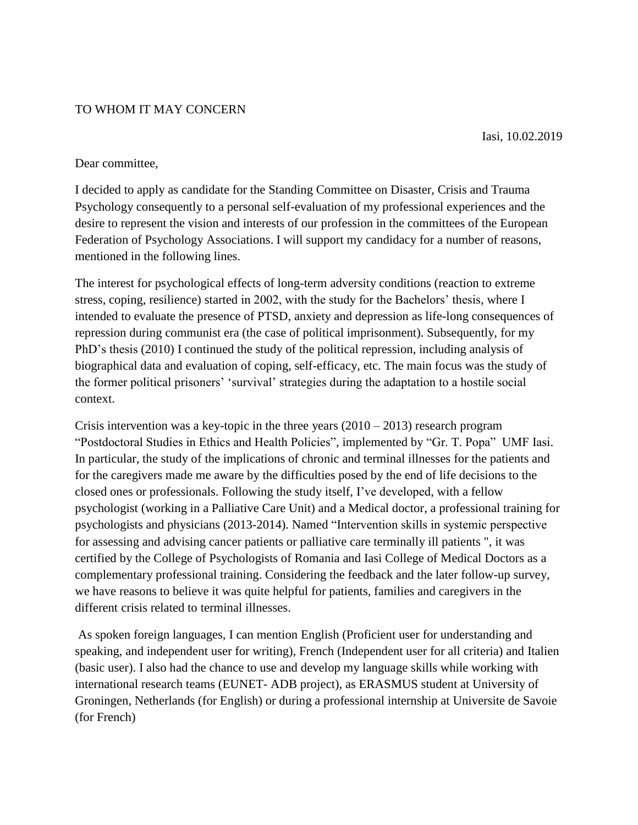## TO WHOM IT MAY CONCERN

Iasi, 10.02.2019

## Dear committee,

I decided to apply as candidate for the Standing Committee on Disaster, Crisis and Trauma Psychology consequently to a personal self-evaluation of my professional experiences and the desire to represent the vision and interests of our profession in the committees of the European Federation of Psychology Associations. I will support my candidacy for a number of reasons, mentioned in the following lines.

The interest for psychological effects of long-term adversity conditions (reaction to extreme stress, coping, resilience) started in 2002, with the study for the Bachelors' thesis, where I intended to evaluate the presence of PTSD, anxiety and depression as life-long consequences of repression during communist era (the case of political imprisonment). Subsequently, for my PhD"s thesis (2010) I continued the study of the political repression, including analysis of biographical data and evaluation of coping, self-efficacy, etc. The main focus was the study of the former political prisoners" "survival" strategies during the adaptation to a hostile social context.

Crisis intervention was a key-topic in the three years  $(2010 – 2013)$  research program "Postdoctoral Studies in Ethics and Health Policies", implemented by "Gr. T. Popa" UMF Iasi. In particular, the study of the implications of chronic and terminal illnesses for the patients and for the caregivers made me aware by the difficulties posed by the end of life decisions to the closed ones or professionals. Following the study itself, I"ve developed, with a fellow psychologist (working in a Palliative Care Unit) and a Medical doctor, a professional training for psychologists and physicians (2013-2014). Named "Intervention skills in systemic perspective for assessing and advising cancer patients or palliative care terminally ill patients ", it was certified by the College of Psychologists of Romania and Iasi College of Medical Doctors as a complementary professional training. Considering the feedback and the later follow-up survey, we have reasons to believe it was quite helpful for patients, families and caregivers in the different crisis related to terminal illnesses.

As spoken foreign languages, I can mention English (Proficient user for understanding and speaking, and independent user for writing), French (Independent user for all criteria) and Italien (basic user). I also had the chance to use and develop my language skills while working with international research teams (EUNET- ADB project), as ERASMUS student at University of Groningen, Netherlands (for English) or during a professional internship at Universite de Savoie (for French)